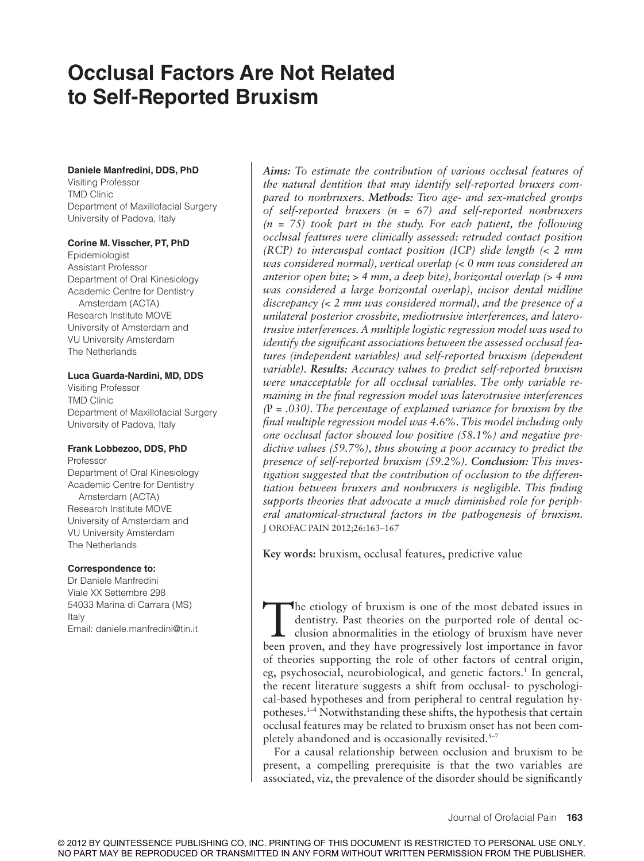# **Occlusal Factors Are Not Related to Self-Reported Bruxism**

#### **Daniele Manfredini, DDS, PhD**

Visiting Professor TMD Clinic Department of Maxillofacial Surgery University of Padova, Italy

#### **Corine M. Visscher, PT, PhD**

Epidemiologist Assistant Professor Department of Oral Kinesiology Academic Centre for Dentistry Amsterdam (ACTA) Research Institute MOVE University of Amsterdam and VU University Amsterdam The Netherlands

#### **Luca Guarda-Nardini, MD, DDS**

Visiting Professor TMD Clinic Department of Maxillofacial Surgery University of Padova, Italy

## **Frank Lobbezoo, DDS, PhD**

Professor Department of Oral Kinesiology Academic Centre for Dentistry Amsterdam (ACTA) Research Institute MOVE University of Amsterdam and VU University Amsterdam The Netherlands

#### **Correspondence to:**

Dr Daniele Manfredini Viale XX Settembre 298 54033 Marina di Carrara (MS) Italy Email: daniele.manfredini@tin.it

*Aims: To estimate the contribution of various occlusal features of the natural dentition that may identify self-reported bruxers compared to nonbruxers. Methods: Two age- and sex-matched groups of self-reported bruxers (n = 67) and self-reported nonbruxers (n = 75) took part in the study. For each patient, the following occlusal features were clinically assessed: retruded contact position (RCP) to intercuspal contact position (ICP) slide length (< 2 mm was considered normal), vertical overlap (< 0 mm was considered an anterior open bite; > 4 mm, a deep bite), horizontal overlap (> 4 mm was considered a large horizontal overlap), incisor dental midline discrepancy (< 2 mm was considered normal), and the presence of a unilateral posterior crossbite, mediotrusive interferences, and laterotrusive interferences. A multiple logistic regression model was used to identify the significant associations between the assessed occlusal features (independent variables) and self-reported bruxism (dependent variable). Results: Accuracy values to predict self-reported bruxism were unacceptable for all occlusal variables. The only variable remaining in the final regression model was laterotrusive interferences (*P *= .030). The percentage of explained variance for bruxism by the final multiple regression model was 4.6%. This model including only one occlusal factor showed low positive (58.1%) and negative predictive values (59.7%), thus showing a poor accuracy to predict the presence of self-reported bruxism (59.2%). Conclusion: This investigation suggested that the contribution of occlusion to the differentiation between bruxers and nonbruxers is negligible. This finding supports theories that advocate a much diminished role for peripheral anatomical-structural factors in the pathogenesis of bruxism.*  J OROFAC PAIN 2012;26:163–167

**Key words:** bruxism, occlusal features, predictive value

The etiology of bruxism is one of the most debated issues in dentistry. Past theories on the purported role of dental occlusion abnormalities in the etiology of bruxism have never been proven, and they have progressively l he etiology of bruxism is one of the most debated issues in dentistry. Past theories on the purported role of dental occlusion abnormalities in the etiology of bruxism have never of theories supporting the role of other factors of central origin, eg, psychosocial, neurobiological, and genetic factors.<sup>1</sup> In general, the recent literature suggests a shift from occlusal- to pyschological-based hypotheses and from peripheral to central regulation hypotheses.1–4 Notwithstanding these shifts, the hypothesis that certain occlusal features may be related to bruxism onset has not been completely abandoned and is occasionally revisited.<sup>5-7</sup>

For a causal relationship between occlusion and bruxism to be present, a compelling prerequisite is that the two variables are associated, viz, the prevalence of the disorder should be significantly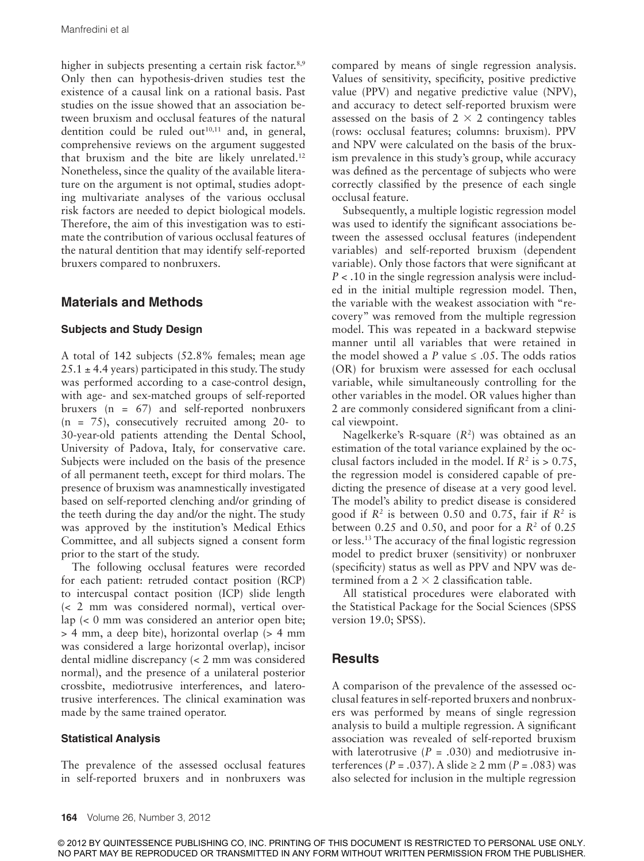higher in subjects presenting a certain risk factor.<sup>8,9</sup> Only then can hypothesis-driven studies test the existence of a causal link on a rational basis. Past studies on the issue showed that an association between bruxism and occlusal features of the natural dentition could be ruled out $10,11$  and, in general, comprehensive reviews on the argument suggested that bruxism and the bite are likely unrelated.<sup>12</sup> Nonetheless, since the quality of the available literature on the argument is not optimal, studies adopting multivariate analyses of the various occlusal risk factors are needed to depict biological models. Therefore, the aim of this investigation was to estimate the contribution of various occlusal features of the natural dentition that may identify self-reported bruxers compared to nonbruxers.

## **Materials and Methods**

#### **Subjects and Study Design**

A total of 142 subjects (52.8% females; mean age  $25.1 \pm 4.4$  years) participated in this study. The study was performed according to a case-control design, with age- and sex-matched groups of self-reported bruxers (n = 67) and self-reported nonbruxers (n = 75), consecutively recruited among 20- to 30-year-old patients attending the Dental School, University of Padova, Italy, for conservative care. Subjects were included on the basis of the presence of all permanent teeth, except for third molars. The presence of bruxism was anamnestically investigated based on self-reported clenching and/or grinding of the teeth during the day and/or the night. The study was approved by the institution's Medical Ethics Committee, and all subjects signed a consent form prior to the start of the study.

The following occlusal features were recorded for each patient: retruded contact position (RCP) to intercuspal contact position (ICP) slide length (< 2 mm was considered normal), vertical overlap (< 0 mm was considered an anterior open bite; > 4 mm, a deep bite), horizontal overlap (> 4 mm was considered a large horizontal overlap), incisor dental midline discrepancy (< 2 mm was considered normal), and the presence of a unilateral posterior crossbite, mediotrusive interferences, and laterotrusive interferences. The clinical examination was made by the same trained operator.

#### **Statistical Analysis**

The prevalence of the assessed occlusal features in self-reported bruxers and in nonbruxers was

compared by means of single regression analysis. Values of sensitivity, specificity, positive predictive value (PPV) and negative predictive value (NPV), and accuracy to detect self-reported bruxism were assessed on the basis of  $2 \times 2$  contingency tables (rows: occlusal features; columns: bruxism). PPV and NPV were calculated on the basis of the bruxism prevalence in this study's group, while accuracy was defined as the percentage of subjects who were correctly classified by the presence of each single occlusal feature.

Subsequently, a multiple logistic regression model was used to identify the significant associations between the assessed occlusal features (independent variables) and self-reported bruxism (dependent variable). Only those factors that were significant at *P* < .10 in the single regression analysis were included in the initial multiple regression model. Then, the variable with the weakest association with "recovery" was removed from the multiple regression model. This was repeated in a backward stepwise manner until all variables that were retained in the model showed a *P* value  $\leq$  0.05. The odds ratios (OR) for bruxism were assessed for each occlusal variable, while simultaneously controlling for the other variables in the model. OR values higher than 2 are commonly considered significant from a clinical viewpoint.

Nagelkerke's R-square (*R<sup>2</sup>* ) was obtained as an estimation of the total variance explained by the occlusal factors included in the model. If  $R^2$  is  $> 0.75$ , the regression model is considered capable of predicting the presence of disease at a very good level. The model's ability to predict disease is considered good if  $R^2$  is between 0.50 and 0.75, fair if  $R^2$  is between  $0.25$  and  $0.50$ , and poor for a  $R<sup>2</sup>$  of  $0.25$ or less.<sup>13</sup> The accuracy of the final logistic regression model to predict bruxer (sensitivity) or nonbruxer (specificity) status as well as PPV and NPV was determined from a  $2 \times 2$  classification table.

All statistical procedures were elaborated with the Statistical Package for the Social Sciences (SPSS version 19.0; SPSS).

## **Results**

A comparison of the prevalence of the assessed occlusal features in self-reported bruxers and nonbruxers was performed by means of single regression analysis to build a multiple regression. A significant association was revealed of self-reported bruxism with laterotrusive  $(P = .030)$  and mediotrusive interferences ( $P = .037$ ). A slide  $\ge 2$  mm ( $P = .083$ ) was also selected for inclusion in the multiple regression

© 2012 BY QUINTESSENCE PUBLISHING CO, INC. PRINTING OF THIS DOCUMENT IS RESTRICTED TO PERSONAL USE ONLY. NO PART MAY BE REPRODUCED OR TRANSMITTED IN ANY FORM WITHOUT WRITTEN PERMISSION FROM THE PUBLISHER.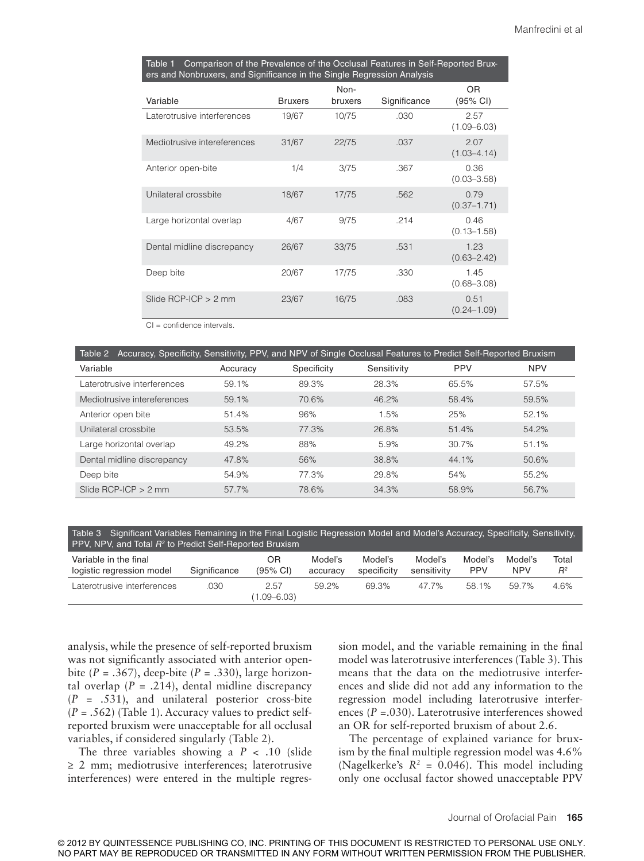| Comparison of the Prevalence of the Occlusal Features in Self-Reported Brux-<br><u>Table 1</u><br>ers and Nonbruxers, and Significance in the Single Regression Analysis |                |                 |              |                         |  |  |  |
|--------------------------------------------------------------------------------------------------------------------------------------------------------------------------|----------------|-----------------|--------------|-------------------------|--|--|--|
| Variable                                                                                                                                                                 | <b>Bruxers</b> | Non-<br>bruxers | Significance | 0R<br>(95% CI)          |  |  |  |
| Laterotrusive interferences                                                                                                                                              | 19/67          | 10/75           | .030         | 2.57<br>$(1.09 - 6.03)$ |  |  |  |
| Mediotrusive intereferences                                                                                                                                              | 31/67          | 22/75           | .037         | 2.07<br>$(1.03 - 4.14)$ |  |  |  |
| Anterior open-bite                                                                                                                                                       | 1/4            | 3/75            | .367         | 0.36<br>$(0.03 - 3.58)$ |  |  |  |
| Unilateral crossbite                                                                                                                                                     | 18/67          | 17/75           | .562         | 0.79<br>$(0.37 - 1.71)$ |  |  |  |
| Large horizontal overlap                                                                                                                                                 | 4/67           | 9/75            | .214         | 0.46<br>$(0.13 - 1.58)$ |  |  |  |
| Dental midline discrepancy                                                                                                                                               | 26/67          | 33/75           | .531         | 1.23<br>$(0.63 - 2.42)$ |  |  |  |
| Deep bite                                                                                                                                                                | 20/67          | 17/75           | .330         | 1.45<br>$(0.68 - 3.08)$ |  |  |  |
| Slide $RCP$ -ICP $> 2$ mm                                                                                                                                                | 23/67          | 16/75           | .083         | 0.51<br>$(0.24 - 1.09)$ |  |  |  |

CI = confidence intervals.

| Accuracy, Specificity, Sensitivity, PPV, and NPV of Single Occlusal Features to Predict Self-Reported Bruxism<br>Table 2 |          |             |             |            |            |  |  |  |
|--------------------------------------------------------------------------------------------------------------------------|----------|-------------|-------------|------------|------------|--|--|--|
| Variable                                                                                                                 | Accuracy | Specificity | Sensitivity | <b>PPV</b> | <b>NPV</b> |  |  |  |
| Laterotrusive interferences                                                                                              | 59.1%    | 89.3%       | 28.3%       | 65.5%      | 57.5%      |  |  |  |
| Mediotrusive intereferences                                                                                              | 59.1%    | 70.6%       | 46.2%       | 58.4%      | 59.5%      |  |  |  |
| Anterior open bite                                                                                                       | 51.4%    | 96%         | 1.5%        | 25%        | 52.1%      |  |  |  |
| Unilateral crossbite                                                                                                     | 53.5%    | 77.3%       | 26.8%       | 51.4%      | 54.2%      |  |  |  |
| Large horizontal overlap                                                                                                 | 49.2%    | 88%         | 5.9%        | 30.7%      | 51.1%      |  |  |  |
| Dental midline discrepancy                                                                                               | 47.8%    | 56%         | 38.8%       | 44.1%      | 50.6%      |  |  |  |
| Deep bite                                                                                                                | 54.9%    | 77.3%       | 29.8%       | 54%        | 55.2%      |  |  |  |
| Slide $RCP$ -ICP $> 2$ mm                                                                                                | 57.7%    | 78.6%       | 34.3%       | 58.9%      | 56.7%      |  |  |  |

Table 3 Significant Variables Remaining in the Final Logistic Regression Model and Model's Accuracy, Specificity, Sensitivity, PPV, NPV, and Total  $R^2$ to Predict Self-Reported Bruxism

| PPV, INPV, and Total H <sup>-</sup> to Predict Self-Reported Bruxism |              |                                      |                     |                        |                        |                       |                       |                |  |
|----------------------------------------------------------------------|--------------|--------------------------------------|---------------------|------------------------|------------------------|-----------------------|-----------------------|----------------|--|
| Variable in the final<br>logistic regression model                   | Significance | 0 <sub>R</sub><br>$(95% \text{ Cl})$ | Model's<br>accuracy | Model's<br>specificity | Model's<br>sensitivity | Model's<br><b>PPV</b> | Model's<br><b>NPV</b> | Total<br>$R^2$ |  |
| Laterotrusive interferences                                          | 030          | 2.57<br>$1.09 - 6.03$                | 59.2%               | 69.3%                  | 47 7%                  | 58 1%                 | 59 7%                 | 4.6%           |  |

analysis, while the presence of self-reported bruxism was not significantly associated with anterior openbite (*P* = .367), deep-bite (*P* = .330), large horizontal overlap  $(P = .214)$ , dental midline discrepancy (*P* = .531), and unilateral posterior cross-bite (*P* = .562) (Table 1). Accuracy values to predict selfreported bruxism were unacceptable for all occlusal variables, if considered singularly (Table 2).

The three variables showing a  $P < .10$  (slide ≥ 2 mm; mediotrusive interferences; laterotrusive interferences) were entered in the multiple regres-

sion model, and the variable remaining in the final model was laterotrusive interferences (Table 3). This means that the data on the mediotrusive interferences and slide did not add any information to the regression model including laterotrusive interferences (*P* =.030). Laterotrusive interferences showed an OR for self-reported bruxism of about 2.6.

The percentage of explained variance for bruxism by the final multiple regression model was 4.6% (Nagelkerke's  $R^2 = 0.046$ ). This model including only one occlusal factor showed unacceptable PPV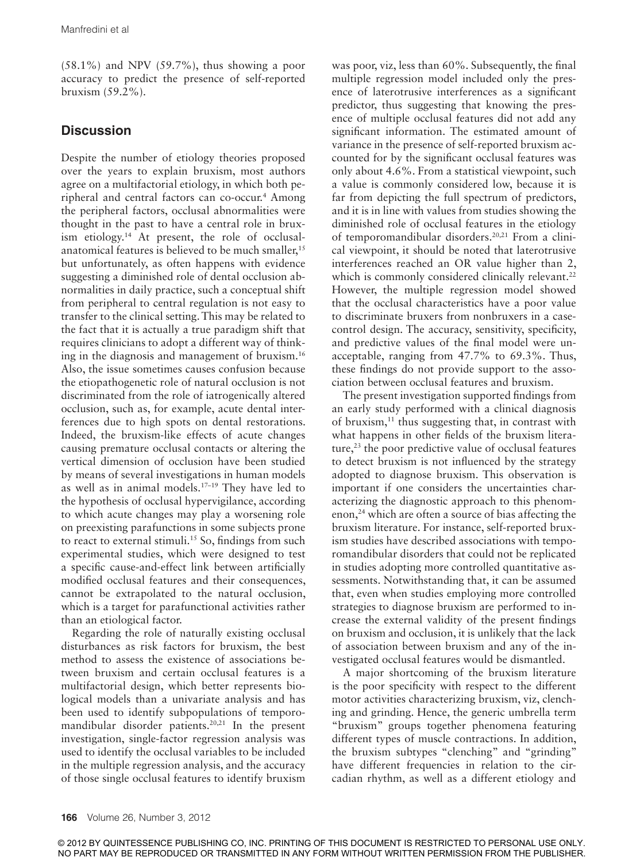(58.1%) and NPV (59.7%), thus showing a poor accuracy to predict the presence of self-reported bruxism (59.2%).

## **Discussion**

Despite the number of etiology theories proposed over the years to explain bruxism, most authors agree on a multifactorial etiology, in which both peripheral and central factors can co-occur.<sup>4</sup> Among the peripheral factors, occlusal abnormalities were thought in the past to have a central role in bruxism etiology.14 At present, the role of occlusalanatomical features is believed to be much smaller,<sup>15</sup> but unfortunately, as often happens with evidence suggesting a diminished role of dental occlusion abnormalities in daily practice, such a conceptual shift from peripheral to central regulation is not easy to transfer to the clinical setting. This may be related to the fact that it is actually a true paradigm shift that requires clinicians to adopt a different way of thinking in the diagnosis and management of bruxism.<sup>16</sup> Also, the issue sometimes causes confusion because the etiopathogenetic role of natural occlusion is not discriminated from the role of iatrogenically altered occlusion, such as, for example, acute dental interferences due to high spots on dental restorations. Indeed, the bruxism-like effects of acute changes causing premature occlusal contacts or altering the vertical dimension of occlusion have been studied by means of several investigations in human models as well as in animal models.17–19 They have led to the hypothesis of occlusal hypervigilance, according to which acute changes may play a worsening role on preexisting parafunctions in some subjects prone to react to external stimuli.<sup>15</sup> So, findings from such experimental studies, which were designed to test a specific cause-and-effect link between artificially modified occlusal features and their consequences, cannot be extrapolated to the natural occlusion, which is a target for parafunctional activities rather than an etiological factor.

Regarding the role of naturally existing occlusal disturbances as risk factors for bruxism, the best method to assess the existence of associations between bruxism and certain occlusal features is a multifactorial design, which better represents biological models than a univariate analysis and has been used to identify subpopulations of temporomandibular disorder patients.<sup>20,21</sup> In the present investigation, single-factor regression analysis was used to identify the occlusal variables to be included in the multiple regression analysis, and the accuracy of those single occlusal features to identify bruxism

was poor, viz, less than 60%. Subsequently, the final multiple regression model included only the presence of laterotrusive interferences as a significant predictor, thus suggesting that knowing the presence of multiple occlusal features did not add any significant information. The estimated amount of variance in the presence of self-reported bruxism accounted for by the significant occlusal features was only about 4.6%. From a statistical viewpoint, such a value is commonly considered low, because it is far from depicting the full spectrum of predictors, and it is in line with values from studies showing the diminished role of occlusal features in the etiology of temporomandibular disorders.20,21 From a clinical viewpoint, it should be noted that laterotrusive interferences reached an OR value higher than 2, which is commonly considered clinically relevant.<sup>22</sup> However, the multiple regression model showed that the occlusal characteristics have a poor value to discriminate bruxers from nonbruxers in a casecontrol design. The accuracy, sensitivity, specificity, and predictive values of the final model were unacceptable, ranging from 47.7% to 69.3%. Thus, these findings do not provide support to the association between occlusal features and bruxism.

The present investigation supported findings from an early study performed with a clinical diagnosis of bruxism, $11$  thus suggesting that, in contrast with what happens in other fields of the bruxism literature,<sup>23</sup> the poor predictive value of occlusal features to detect bruxism is not influenced by the strategy adopted to diagnose bruxism. This observation is important if one considers the uncertainties characterizing the diagnostic approach to this phenomenon,<sup>24</sup> which are often a source of bias affecting the bruxism literature. For instance, self-reported bruxism studies have described associations with temporomandibular disorders that could not be replicated in studies adopting more controlled quantitative assessments. Notwithstanding that, it can be assumed that, even when studies employing more controlled strategies to diagnose bruxism are performed to increase the external validity of the present findings on bruxism and occlusion, it is unlikely that the lack of association between bruxism and any of the investigated occlusal features would be dismantled.

A major shortcoming of the bruxism literature is the poor specificity with respect to the different motor activities characterizing bruxism, viz, clenching and grinding. Hence, the generic umbrella term "bruxism" groups together phenomena featuring different types of muscle contractions. In addition, the bruxism subtypes "clenching" and "grinding" have different frequencies in relation to the circadian rhythm, as well as a different etiology and